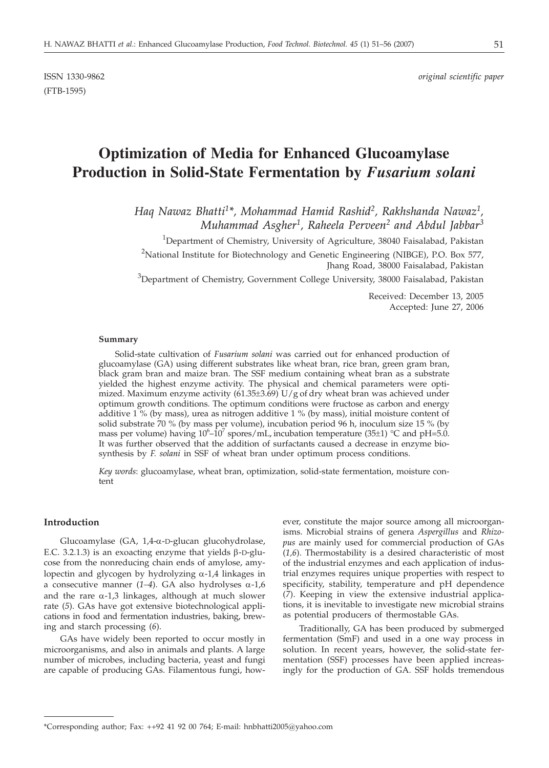(FTB-1595)

# **Optimization of Media for Enhanced Glucoamylase Production in Solid-State Fermentation by** *Fusarium solani*

*Haq Nawaz Bhatti1\*, Mohammad Hamid Rashid2, Rakhshanda Nawaz1, Muhammad Asgher1, Raheela Perveen2 and Abdul Jabbar3*

<sup>1</sup>Department of Chemistry, University of Agriculture, 38040 Faisalabad, Pakistan

<sup>2</sup>National Institute for Biotechnology and Genetic Engineering (NIBGE), P.O. Box 577, Jhang Road, 38000 Faisalabad, Pakistan

 ${}^{3}$ Department of Chemistry, Government College University, 38000 Faisalabad, Pakistan

Received: December 13, 2005 Accepted: June 27, 2006

#### **Summary**

Solid-state cultivation of *Fusarium solani* was carried out for enhanced production of glucoamylase (GA) using different substrates like wheat bran, rice bran, green gram bran, black gram bran and maize bran. The SSF medium containing wheat bran as a substrate yielded the highest enzyme activity. The physical and chemical parameters were optimized. Maximum enzyme activity  $(61.35\pm 3.69)$  U/g of dry wheat bran was achieved under optimum growth conditions. The optimum conditions were fructose as carbon and energy additive  $1\%$  (by mass), urea as nitrogen additive  $1\%$  (by mass), initial moisture content of solid substrate 70 % (by mass per volume), incubation period 96 h, inoculum size 15 % (by mass per volume) having  $10^6$ - $10^7$  spores/mL, incubation temperature (35±1) °C and pH=5.0. It was further observed that the addition of surfactants caused a decrease in enzyme biosynthesis by *F. solani* in SSF of wheat bran under optimum process conditions.

*Key words*: glucoamylase, wheat bran, optimization, solid-state fermentation, moisture content

## **Introduction**

Glucoamylase (GA,  $1,4$ - $\alpha$ -D-glucan glucohydrolase, E.C. 3.2.1.3) is an exoacting enzyme that yields  $\beta$ -D-glucose from the nonreducing chain ends of amylose, amylopectin and glycogen by hydrolyzing  $\alpha$ -1,4 linkages in a consecutive manner  $(1-4)$ . GA also hydrolyses  $\alpha$ -1,6 and the rare  $\alpha$ -1,3 linkages, although at much slower rate (*5*). GAs have got extensive biotechnological applications in food and fermentation industries, baking, brewing and starch processing (*6*).

GAs have widely been reported to occur mostly in microorganisms, and also in animals and plants. A large number of microbes, including bacteria, yeast and fungi are capable of producing GAs. Filamentous fungi, how-

ever, constitute the major source among all microorganisms. Microbial strains of genera *Aspergillus* and *Rhizopus* are mainly used for commercial production of GAs (*1,6*). Thermostability is a desired characteristic of most of the industrial enzymes and each application of industrial enzymes requires unique properties with respect to specificity, stability, temperature and pH dependence (*7*). Keeping in view the extensive industrial applications, it is inevitable to investigate new microbial strains as potential producers of thermostable GAs.

Traditionally, GA has been produced by submerged fermentation (SmF) and used in a one way process in solution. In recent years, however, the solid-state fermentation (SSF) processes have been applied increasingly for the production of GA. SSF holds tremendous

<sup>\*</sup>Corresponding author; Fax: ++92 41 92 00 764; E-mail: hnbhatti2005*@*yahoo.com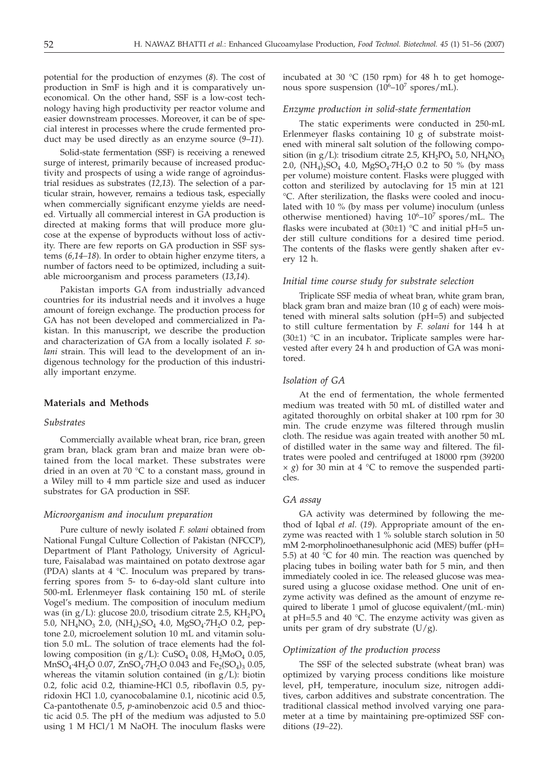potential for the production of enzymes (*8*). The cost of production in SmF is high and it is comparatively uneconomical. On the other hand, SSF is a low-cost technology having high productivity per reactor volume and easier downstream processes. Moreover, it can be of special interest in processes where the crude fermented product may be used directly as an enzyme source (*9*–*11*).

Solid-state fermentation (SSF) is receiving a renewed surge of interest, primarily because of increased productivity and prospects of using a wide range of agroindustrial residues as substrates (*12,13*). The selection of a particular strain, however, remains a tedious task, especially when commercially significant enzyme yields are needed. Virtually all commercial interest in GA production is directed at making forms that will produce more glucose at the expense of byproducts without loss of activity. There are few reports on GA production in SSF systems (*6,14–18*). In order to obtain higher enzyme titers, a number of factors need to be optimized, including a suitable microorganism and process parameters (*13,14*).

Pakistan imports GA from industrially advanced countries for its industrial needs and it involves a huge amount of foreign exchange. The production process for GA has not been developed and commercialized in Pakistan. In this manuscript, we describe the production and characterization of GA from a locally isolated *F. solani* strain. This will lead to the development of an indigenous technology for the production of this industrially important enzyme.

## **Materials and Methods**

#### *Substrates*

Commercially available wheat bran, rice bran, green gram bran, black gram bran and maize bran were obtained from the local market. These substrates were dried in an oven at 70 °C to a constant mass, ground in a Wiley mill to 4 mm particle size and used as inducer substrates for GA production in SSF.

#### *Microorganism and inoculum preparation*

Pure culture of newly isolated *F. solani* obtained from National Fungal Culture Collection of Pakistan (NFCCP), Department of Plant Pathology, University of Agriculture, Faisalabad was maintained on potato dextrose agar (PDA) slants at 4 °C. Inoculum was prepared by transferring spores from 5- to 6-day-old slant culture into 500-mL Erlenmeyer flask containing 150 mL of sterile Vogel's medium. The composition of inoculum medium was (in  $g/L$ ): glucose 20.0, trisodium citrate 2.5,  $KH_2PO_4$ 5.0, NH<sub>4</sub>NO<sub>3</sub> 2.0, (NH<sub>4</sub>)<sub>2</sub>SO<sub>4</sub> 4.0, MgSO<sub>4</sub>·7H<sub>2</sub>O 0.2, peptone 2.0, microelement solution 10 mL and vitamin solution 5.0 mL. The solution of trace elements had the following composition (in  $g/L$ ): CuSO<sub>4</sub> 0.08, H<sub>2</sub>MoO<sub>4</sub> 0.05,  $MnSO_4$ -4H<sub>2</sub>O 0.07, ZnSO<sub>4</sub>-7H<sub>2</sub>O 0.043 and Fe<sub>2</sub>(SO<sub>4</sub>)<sub>3</sub> 0.05, whereas the vitamin solution contained (in  $g/L$ ): biotin 0.2, folic acid 0.2, thiamine-HCl 0.5, riboflavin 0.5, pyridoxin HCl 1.0, cyanocobalamine 0.1, nicotinic acid 0.5, Ca-pantothenate 0.5, *p*-aminobenzoic acid 0.5 and thioctic acid 0.5. The pH of the medium was adjusted to 5.0 using 1 M HCl/1 M NaOH. The inoculum flasks were

incubated at 30 °C (150 rpm) for 48 h to get homogenous spore suspension  $(10^6-10^7 \text{ spores/mL}).$ 

#### *Enzyme production in solid-state fermentation*

The static experiments were conducted in 250-mL Erlenmeyer flasks containing 10 g of substrate moistened with mineral salt solution of the following composition (in g/L): trisodium citrate 2.5,  $KH_2PO_4$  5.0,  $NH_4NO_3$ 2.0,  $(NH_4)$ ,  $SO_4$  4.0,  $MgSO_4$  $H_2O$  0.2 to 50 % (by mass per volume) moisture content. Flasks were plugged with cotton and sterilized by autoclaving for 15 min at 121 °C. After sterilization, the flasks were cooled and inoculated with 10 % (by mass per volume) inoculum (unless otherwise mentioned) having  $10^6$ – $10^7$  spores/mL. The flasks were incubated at  $(30±1)$  °C and initial pH=5 under still culture conditions for a desired time period. The contents of the flasks were gently shaken after every 12 h.

#### *Initial time course study for substrate selection*

Triplicate SSF media of wheat bran, white gram bran, black gram bran and maize bran (10 g of each) were moistened with mineral salts solution (pH=5) and subjected to still culture fermentation by *F. solani* for 144 h at (30±1) °C in an incubator**.** Triplicate samples were harvested after every 24 h and production of GA was monitored.

#### *Isolation of GA*

At the end of fermentation, the whole fermented medium was treated with 50 mL of distilled water and agitated thoroughly on orbital shaker at 100 rpm for 30 min. The crude enzyme was filtered through muslin cloth. The residue was again treated with another 50 mL of distilled water in the same way and filtered. The filtrates were pooled and centrifuged at 18000 rpm (39200  $\times$  *g*) for 30 min at 4 °C to remove the suspended particles.

## *GA assay*

GA activity was determined by following the method of Iqbal *et al*. (*19*). Appropriate amount of the enzyme was reacted with 1 % soluble starch solution in 50 mM 2-morpholinoethanesulphonic acid (MES) buffer (pH= 5.5) at 40 °C for 40 min. The reaction was quenched by placing tubes in boiling water bath for 5 min, and then immediately cooled in ice. The released glucose was measured using a glucose oxidase method. One unit of enzyme activity was defined as the amount of enzyme required to liberate 1 µmol of glucose equivalent/(mL·min) at pH=5.5 and 40  $^{\circ}$ C. The enzyme activity was given as units per gram of dry substrate  $(U/g)$ .

#### *Optimization of the production process*

The SSF of the selected substrate (wheat bran) was optimized by varying process conditions like moisture level, pH, temperature, inoculum size, nitrogen additives, carbon additives and substrate concentration. The traditional classical method involved varying one parameter at a time by maintaining pre-optimized SSF conditions (*19–22*).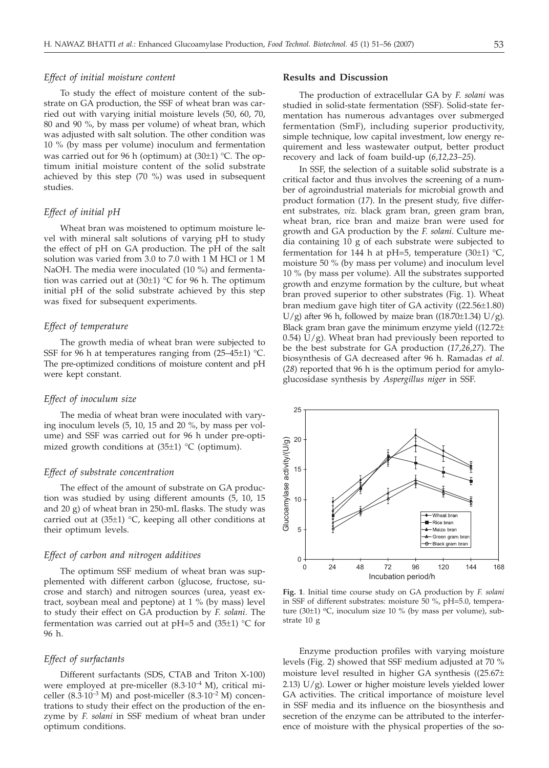## *Effect of initial moisture content*

To study the effect of moisture content of the substrate on GA production, the SSF of wheat bran was carried out with varying initial moisture levels (50, 60, 70, 80 and 90 %, by mass per volume) of wheat bran, which was adjusted with salt solution. The other condition was 10 % (by mass per volume) inoculum and fermentation was carried out for 96 h (optimum) at (30±1) °C. The optimum initial moisture content of the solid substrate achieved by this step (70 %) was used in subsequent studies.

## *Effect of initial pH*

Wheat bran was moistened to optimum moisture level with mineral salt solutions of varying pH to study the effect of pH on GA production. The pH of the salt solution was varied from 3.0 to 7.0 with 1 M HCl or 1 M NaOH. The media were inoculated (10 %) and fermentation was carried out at  $(30±1)$  °C for 96 h. The optimum initial pH of the solid substrate achieved by this step was fixed for subsequent experiments.

## *Effect of temperature*

The growth media of wheat bran were subjected to SSF for 96 h at temperatures ranging from  $(25-45\pm1)$  °C. The pre-optimized conditions of moisture content and pH were kept constant.

#### *Effect of inoculum size*

The media of wheat bran were inoculated with varying inoculum levels (5, 10, 15 and 20 %, by mass per volume) and SSF was carried out for 96 h under pre-optimized growth conditions at (35±1) °C (optimum).

## *Effect of substrate concentration*

The effect of the amount of substrate on GA production was studied by using different amounts (5, 10, 15 and 20 g) of wheat bran in 250-mL flasks. The study was carried out at  $(35\pm1)$  °C, keeping all other conditions at their optimum levels.

## *Effect of carbon and nitrogen additives*

The optimum SSF medium of wheat bran was supplemented with different carbon (glucose, fructose, sucrose and starch) and nitrogen sources (urea, yeast extract, soybean meal and peptone) at 1 % (by mass) level to study their effect on GA production by *F. solani*. The fermentation was carried out at pH=5 and  $(35±1)$  °C for 96 h.

## *Effect of surfactants*

Different surfactants (SDS, CTAB and Triton X-100) were employed at pre-miceller (8.3·10–4 M), critical miceller  $(8.\overline{3}\cdot10^{-3} \text{ M})$  and post-miceller  $(8.3\cdot10^{-2} \text{ M})$  concentrations to study their effect on the production of the enzyme by *F. solani* in SSF medium of wheat bran under optimum conditions.

### **Results and Discussion**

The production of extracellular GA by *F. solani* was studied in solid-state fermentation (SSF). Solid-state fermentation has numerous advantages over submerged fermentation (SmF), including superior productivity, simple technique, low capital investment, low energy requirement and less wastewater output, better product recovery and lack of foam build-up (*6,12,23–25*).

In SSF, the selection of a suitable solid substrate is a critical factor and thus involves the screening of a number of agroindustrial materials for microbial growth and product formation (*17*). In the present study, five different substrates, *viz*. black gram bran, green gram bran, wheat bran, rice bran and maize bran were used for growth and GA production by the *F. solani*. Culture media containing 10 g of each substrate were subjected to fermentation for 144 h at pH=5, temperature  $(30\pm1)$  °C, moisture 50 % (by mass per volume) and inoculum level 10 % (by mass per volume). All the substrates supported growth and enzyme formation by the culture, but wheat bran proved superior to other substrates (Fig. 1). Wheat bran medium gave high titer of GA activity ((22.56±1.80) U/g) after 96 h, followed by maize bran ((18.70 $\pm$ 1.34) U/g). Black gram bran gave the minimum enzyme yield ((12.72±  $(0.54)$  U/g). Wheat bran had previously been reported to be the best substrate for GA production (*17,26,27*). The biosynthesis of GA decreased after 96 h. Ramadas *et al.* (*28*) reported that 96 h is the optimum period for amyloglucosidase synthesis by *Aspergillus niger* in SSF.



**Fig. 1**. Initial time course study on GA production by *F. solani* in SSF of different substrates: moisture 50 %, pH=5.0, temperature (30 $\pm$ 1) °C, inoculum size 10 % (by mass per volume), substrate 10 g

Enzyme production profiles with varying moisture levels (Fig. 2) showed that SSF medium adjusted at 70 % moisture level resulted in higher GA synthesis ((25.67± 2.13) U/g). Lower or higher moisture levels yielded lower GA activities. The critical importance of moisture level in SSF media and its influence on the biosynthesis and secretion of the enzyme can be attributed to the interference of moisture with the physical properties of the so-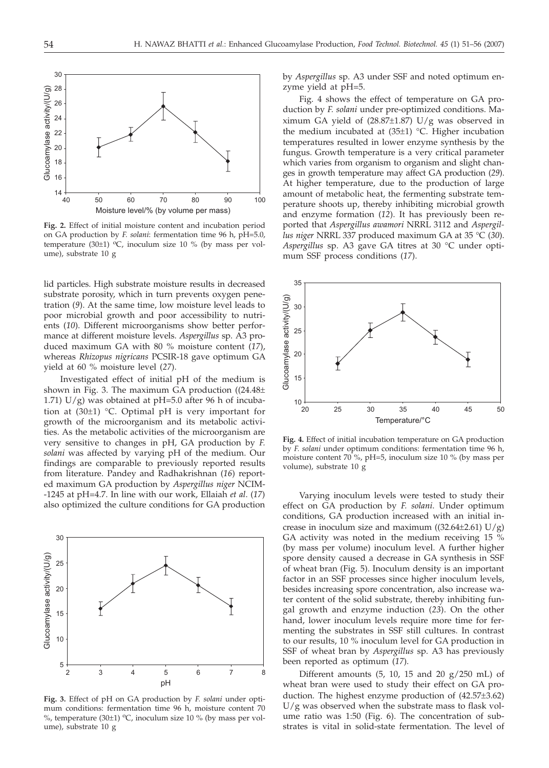

**Fig. 2.** Effect of initial moisture content and incubation period on GA production by *F. solani*: fermentation time 96 h, pH=5.0, temperature (30±1)  $\rm{^{\rm{o}}C}$ , inoculum size 10 % (by mass per volume), substrate 10 g

lid particles. High substrate moisture results in decreased substrate porosity, which in turn prevents oxygen penetration (*9*). At the same time, low moisture level leads to poor microbial growth and poor accessibility to nutrients (*10*). Different microorganisms show better performance at different moisture levels. *Aspergillus* sp. A3 produced maximum GA with 80 % moisture content (*17*), whereas *Rhizopus nigricans* PCSIR-18 gave optimum GA yield at 60 % moisture level (*27*).

Investigated effect of initial pH of the medium is shown in Fig. 3. The maximum GA production ((24.48± 1.71)  $U/g$ ) was obtained at pH=5.0 after 96 h of incubation at (30±1) °C. Optimal pH is very important for growth of the microorganism and its metabolic activities. As the metabolic activities of the microorganism are very sensitive to changes in pH, GA production by *F. solani* was affected by varying pH of the medium. Our findings are comparable to previously reported results from literature. Pandey and Radhakrishnan (*16*) reported maximum GA production by *Aspergillus niger* NCIM- -1245 at pH=4.7. In line with our work, Ellaiah *et al*. (*17*) also optimized the culture conditions for GA production



**Fig. 3.** Effect of pH on GA production by *F. solani* under optimum conditions: fermentation time 96 h, moisture content 70 %, temperature (30 $\pm$ 1) °C, inoculum size 10 % (by mass per volume), substrate 10 g

by *Aspergillus* sp. A3 under SSF and noted optimum enzyme yield at pH=5.

Fig. 4 shows the effect of temperature on GA production by *F. solani* under pre-optimized conditions. Maximum GA yield of  $(28.87\pm1.87)$  U/g was observed in the medium incubated at (35±1) °C. Higher incubation temperatures resulted in lower enzyme synthesis by the fungus. Growth temperature is a very critical parameter which varies from organism to organism and slight changes in growth temperature may affect GA production (*29*). At higher temperature, due to the production of large amount of metabolic heat, the fermenting substrate temperature shoots up, thereby inhibiting microbial growth and enzyme formation (*12*). It has previously been reported that *Aspergillus awamori* NRRL 3112 and *Aspergillus niger* NRRL 337 produced maximum GA at 35 °C (*30*). *Aspergillus* sp. A3 gave GA titres at 30 °C under optimum SSF process conditions (*17*).



**Fig. 4.** Effect of initial incubation temperature on GA production by *F. solani* under optimum conditions: fermentation time 96 h, moisture content 70 %, pH=5, inoculum size 10 % (by mass per volume), substrate 10 g

Varying inoculum levels were tested to study their effect on GA production by *F. solani*. Under optimum conditions, GA production increased with an initial increase in inoculum size and maximum  $((32.64\pm2.61) U/g)$ GA activity was noted in the medium receiving 15  $\%$ (by mass per volume) inoculum level. A further higher spore density caused a decrease in GA synthesis in SSF of wheat bran (Fig. 5). Inoculum density is an important factor in an SSF processes since higher inoculum levels, besides increasing spore concentration, also increase water content of the solid substrate, thereby inhibiting fungal growth and enzyme induction (*23*). On the other hand, lower inoculum levels require more time for fermenting the substrates in SSF still cultures. In contrast to our results, 10 % inoculum level for GA production in SSF of wheat bran by *Aspergillus* sp. A3 has previously been reported as optimum (*17*).

Different amounts  $(5, 10, 15$  and  $20 \text{ g}/250 \text{ mL})$  of wheat bran were used to study their effect on GA production. The highest enzyme production of (42.57±3.62) U/g was observed when the substrate mass to flask volume ratio was 1:50 (Fig. 6). The concentration of substrates is vital in solid-state fermentation. The level of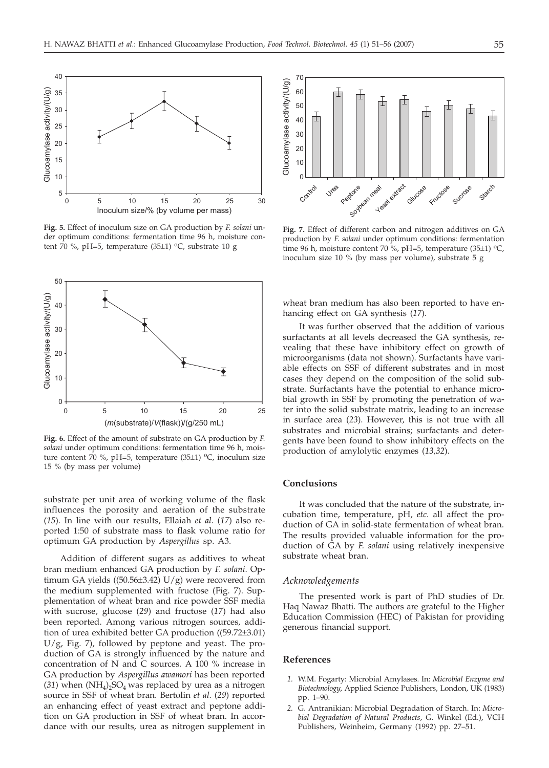

**Fig. 5.** Effect of inoculum size on GA production by *F. solani* under optimum conditions: fermentation time 96 h, moisture content 70 %, pH=5, temperature  $(35±1)$  °C, substrate 10 g



**Fig. 6.** Effect of the amount of substrate on GA production by *F. solani* under optimum conditions: fermentation time 96 h, moisture content 70 %, pH=5, temperature (35 $\pm$ 1) °C, inoculum size 15 % (by mass per volume)

substrate per unit area of working volume of the flask influences the porosity and aeration of the substrate (*15*). In line with our results, Ellaiah *et al*. (*17*) also reported 1:50 of substrate mass to flask volume ratio for optimum GA production by *Aspergillus* sp. A3.

Addition of different sugars as additives to wheat bran medium enhanced GA production by *F. solani*. Optimum GA yields  $((50.56\pm3.42) U/g)$  were recovered from the medium supplemented with fructose (Fig. 7). Supplementation of wheat bran and rice powder SSF media with sucrose, glucose (*29*) and fructose (*17*) had also been reported. Among various nitrogen sources, addition of urea exhibited better GA production ((59.72±3.01)  $U/g$ , Fig. 7), followed by peptone and yeast. The production of GA is strongly influenced by the nature and concentration of N and C sources. A 100 % increase in GA production by *Aspergillus awamori* has been reported  $(31)$  when  $(NH_4)$ <sub>2</sub>SO<sub>4</sub> was replaced by urea as a nitrogen source in SSF of wheat bran. Bertolin *et al*. (*29*) reported an enhancing effect of yeast extract and peptone addition on GA production in SSF of wheat bran. In accordance with our results, urea as nitrogen supplement in



**Fig. 7.** Effect of different carbon and nitrogen additives on GA production by *F. solani* under optimum conditions: fermentation time 96 h, moisture content 70 %, pH=5, temperature (35 $\pm$ 1) °C, inoculum size 10 % (by mass per volume), substrate 5 g

wheat bran medium has also been reported to have enhancing effect on GA synthesis (*17*).

It was further observed that the addition of various surfactants at all levels decreased the GA synthesis, revealing that these have inhibitory effect on growth of microorganisms (data not shown). Surfactants have variable effects on SSF of different substrates and in most cases they depend on the composition of the solid substrate. Surfactants have the potential to enhance microbial growth in SSF by promoting the penetration of water into the solid substrate matrix, leading to an increase in surface area (*23*). However, this is not true with all substrates and microbial strains; surfactants and detergents have been found to show inhibitory effects on the production of amylolytic enzymes (*13,32*).

## **Conclusions**

It was concluded that the nature of the substrate, incubation time, temperature, pH, *etc*. all affect the production of GA in solid-state fermentation of wheat bran. The results provided valuable information for the production of GA by *F. solani* using relatively inexpensive substrate wheat bran.

#### *Acknowledgements*

The presented work is part of PhD studies of Dr. Haq Nawaz Bhatti. The authors are grateful to the Higher Education Commission (HEC) of Pakistan for providing generous financial support.

#### **References**

- *1.* W.M. Fogarty: Microbial Amylases. In: *Microbial Enzyme and Biotechnology*, Applied Science Publishers, London, UK (1983) pp. 1–90.
- *2.* G. Antranikian: Microbial Degradation of Starch. In: *Microbial Degradation of Natural Products*, G. Winkel (Ed.), VCH Publishers, Weinheim, Germany (1992) pp. 27–51.